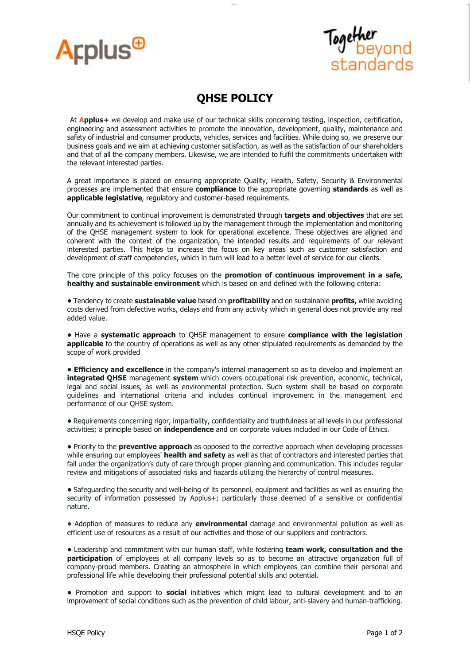



## **QHSE POLICY**

At **Applus+** we develop and make use of our technical skills concerning testing, inspection, certification, engineering and assessment activities to promote the innovation, development, quality, maintenance and safety of industrial and consumer products, vehicles, services and facilities. While doing so, we preserve our business goals and we aim at achieving customer satisfaction, as well as the satisfaction of our shareholders and that of all the company members. Likewise, we are intended to fulfil the commitments undertaken with the relevant interested parties.

A great importance is placed on ensuring appropriate Quality, Health, Safety, Security & Environmental processes are implemented that ensure **compliance** to the appropriate governing **standards** as well as **applicable legislative**, regulatory and customer-based requirements.

Our commitment to continual improvement is demonstrated through **targets and objectives** that are set annually and its achievement is followed up by the management through the implementation and monitoring of the QHSE management system to look for operational excellence. These objectives are aligned and coherent with the context of the organization, the intended results and requirements of our relevant interested parties. This helps to increase the focus on key areas such as customer satisfaction and development of staff competencies, which in turn will lead to a better level of service for our clients.

The core principle of this policy focuses on the **promotion of continuous improvement in a safe, healthy and sustainable environment** which is based on and defined with the following criteria:

**•** Tendency to create **sustainable value** based on **profitability** and on sustainable **profits,** while avoiding costs derived from defective works, delays and from any activity which in general does not provide any real added value.

**•** Have a **systematic approach** to QHSE management to ensure **compliance with the legislation applicable** to the country of operations as well as any other stipulated requirements as demanded by the scope of work provided

**• Efficiency and excellence** in the company's internal management so as to develop and implement an **integrated QHSE** management **system** which covers occupational risk prevention, economic, technical, legal and social issues, as well as environmental protection. Such system shall be based on corporate guidelines and international criteria and includes continual improvement in the management and performance of our QHSE system.

**•** Requirements concerning rigor, impartiality, confidentiality and truthfulness at all levels in our professional activities; a principle based on **independence** and on corporate values included in our Code of Ethics.

**•** Priority to the **preventive approach** as opposed to the corrective approach when developing processes while ensuring our employees' **health and safety** as well as that of contractors and interested parties that fall under the organization's duty of care through proper planning and communication. This includes regular review and mitigations of associated risks and hazards utilizing the hierarchy of control measures.

**•** Safeguarding the security and well-being of its personnel, equipment and facilities as well as ensuring the security of information possessed by Applus+; particularly those deemed of a sensitive or confidential nature.

**•** Adoption of measures to reduce any **environmental** damage and environmental pollution as well as efficient use of resources as a result of our activities and those of our suppliers and contractors.

**•** Leadership and commitment with our human staff, while fostering **team work, consultation and the participation** of employees at all company levels so as to become an attractive organization full of company-proud members. Creating an atmosphere in which employees can combine their personal and professional life while developing their professional potential skills and potential.

**•** Promotion and support to **social** initiatives which might lead to cultural development and to an improvement of social conditions such as the prevention of child labour, anti-slavery and human-trafficking.